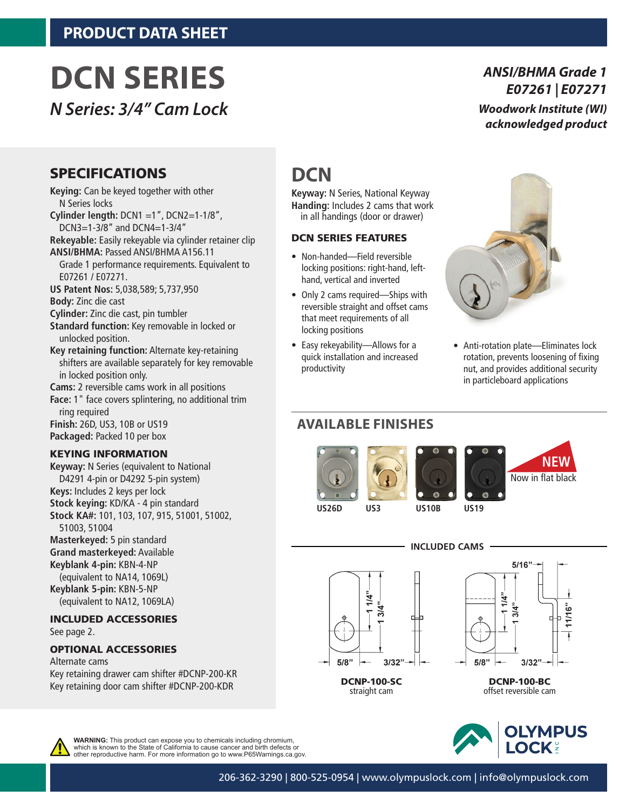# **DCN SERIES**

*N Series: 3/4" Cam Lock* 

### *ANSI/BHMA Grade 1 E07261 | E07271 Woodwork Institute (WI) acknowledged product*

### SPECIFICATIONS

**Keying:** Can be keyed together with other N Series locks

- **Cylinder length:** DCN1 =1", DCN2=1-1/8", DCN3=1-3/8" and DCN4=1-3/4"
- **Rekeyable:** Easily rekeyable via cylinder retainer clip **ANSI/BHMA:** Passed ANSI/BHMA A156.11
- Grade 1 performance requirements. Equivalent to E07261 / E07271.
- **US Patent Nos:** 5,038,589; 5,737,950 **Body:** Zinc die cast
- **Cylinder:** Zinc die cast, pin tumbler
- **Standard function:** Key removable in locked or unlocked position.
- **Key retaining function:** Alternate key-retaining shifters are available separately for key removable in locked position only.

**Cams:** 2 reversible cams work in all positions

**Face:** 1" face covers splintering, no additional trim ring required **Finish:** 26D, US3, 10B or US19 **Packaged:** Packed 10 per box

### KEYING INFORMATION

**Keyway:** N Series (equivalent to National D4291 4-pin or D4292 5-pin system) **Keys:** Includes 2 keys per lock **Stock keying:** KD/KA - 4 pin standard **Stock KA#:** 101, 103, 107, 915, 51001, 51002, 51003, 51004 **Masterkeyed:** 5 pin standard **Grand masterkeyed:** Available **Keyblank 4-pin:** KBN-4-NP (equivalent to NA14, 1069L) **Keyblank 5-pin:** KBN-5-NP

(equivalent to NA12, 1069LA)

#### INCLUDED ACCESSORIES See page 2.

### OPTIONAL ACCESSORIES

Alternate cams Key retaining drawer cam shifter #DCNP-200-KR Key retaining door cam shifter #DCNP-200-KDR

# **DCN**

**Keyway:** N Series, National Keyway **Handing:** Includes 2 cams that work in all handings (door or drawer)

### DCN SERIES FEATURES

- Non-handed—Field reversible locking positions: right-hand, lefthand, vertical and inverted
- Only 2 cams required—Ships with reversible straight and offset cams that meet requirements of all locking positions
- Easy rekeyability—Allows for a quick installation and increased productivity



• Anti-rotation plate—Eliminates lock rotation, prevents loosening of fixing nut, and provides additional security in particleboard applications

## **AVAILABLE FINISHES**







**US26D US3 US10B US19**

**INCLUDED CAMS**



DCNP-100-SC straight cam







**WARNING:** This product can expose you to chemicals including chromium, which is known to the State of California to cause cancer and birth defects or other reproductive harm. For more information go to www.P65Warnings.ca.gov.